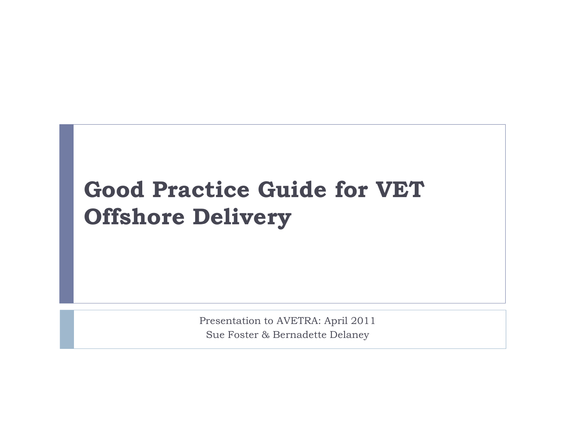## Good Practice Guide for VET Offshore Delivery

Presentation to AVETRA: April 2011Sue Foster & Bernadette Delaney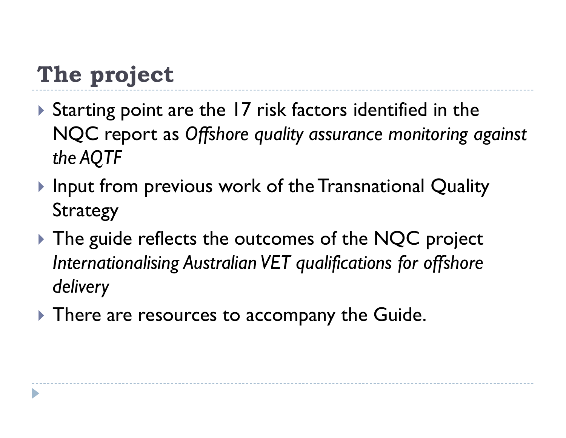# The project

- Starting point are the 17 risk factors identified in the NQC report as Offshore quality assurance monitoring against the AQTF
- $\blacktriangleright$  Input from previous work of the Transnational Quality Strategy
- $\blacktriangleright$  The guide reflects the outcomes of the NQC project Internationalising Australian VET qualifications for offshore delivery
- $\blacktriangleright$  There are resources to accompany the Guide.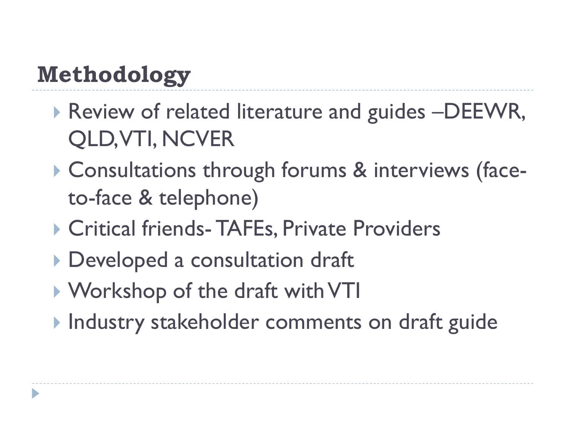# Methodology

- Review of related literature and guides –DEEWR, QLD, VTI, NCVER
- Consultations through forums & interviews (faceto-face & telephone)
- ▶ Critical friends- TAFEs, Private Providers
- Developed a consultation draft
- Workshop of the draft with VTI
- **Industry stakeholder comments on draft guide**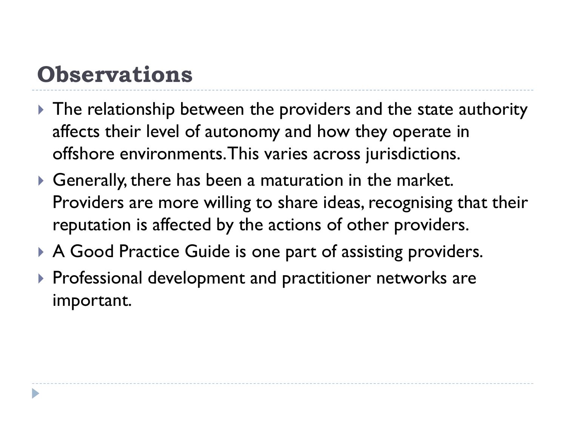## **Observations**

- $\blacktriangleright$  The relationship between the providers and the state authority affects their level of autonomy and how they operate in offshore environments. This varies across jurisdictions.
- $\blacktriangleright$  Generally, there has been a maturation in the market. Providers are more willing to share ideas, recognising that their reputation is affected by the actions of other providers.
- A Good Practice Guide is one part of assisting providers.
- $\blacktriangleright$  Professional development and practitioner networks are important.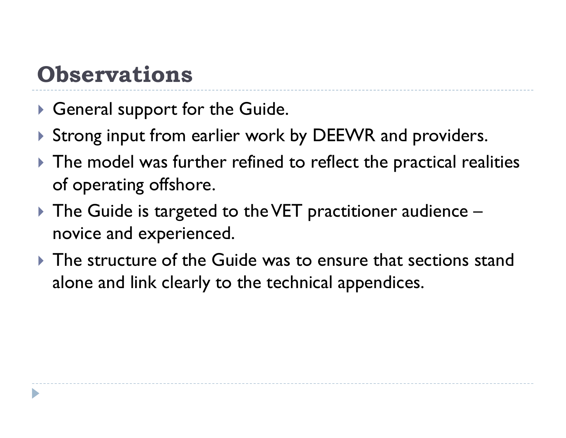## **Observations**

- $\blacktriangleright$  General support for the Guide.
- Strong input from earlier work by DEEWR and providers.
- $\blacktriangleright$  The model was further refined to reflect the practical realities of operating offshore.
- $\blacktriangleright$  The Guide is targeted to the VET practitioner audience novice and experienced.
- $\blacktriangleright$  The structure of the Guide was to ensure that sections stand alone and link clearly to the technical appendices.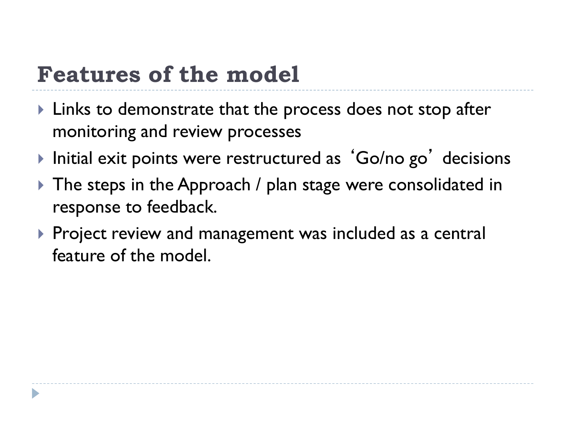#### Features of the model

- $\blacktriangleright$  Links to demonstrate that the process does not stop after monitoring and review processes
- $\blacktriangleright$  Initial exit points were restructured as 'Go/no go' decisions
- $\blacktriangleright$  The steps in the Approach / plan stage were consolidated in response to feedback.
- $\blacktriangleright$  Project review and management was included as a central feature of the model.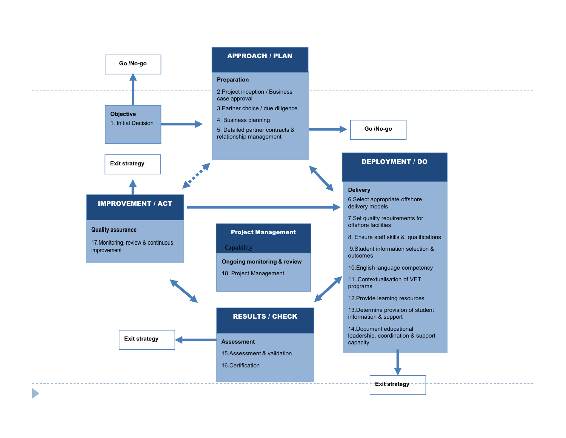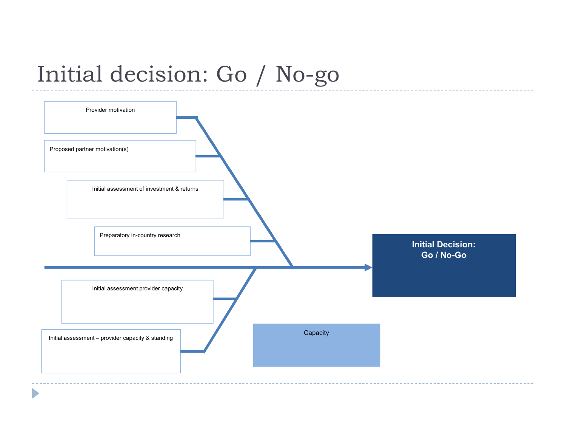## Initial decision: Go / No-go

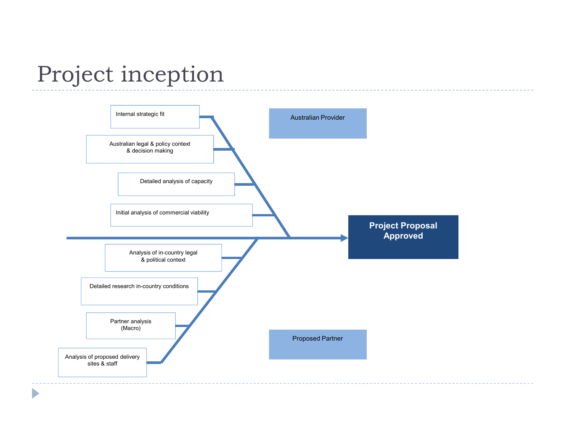#### Project inception